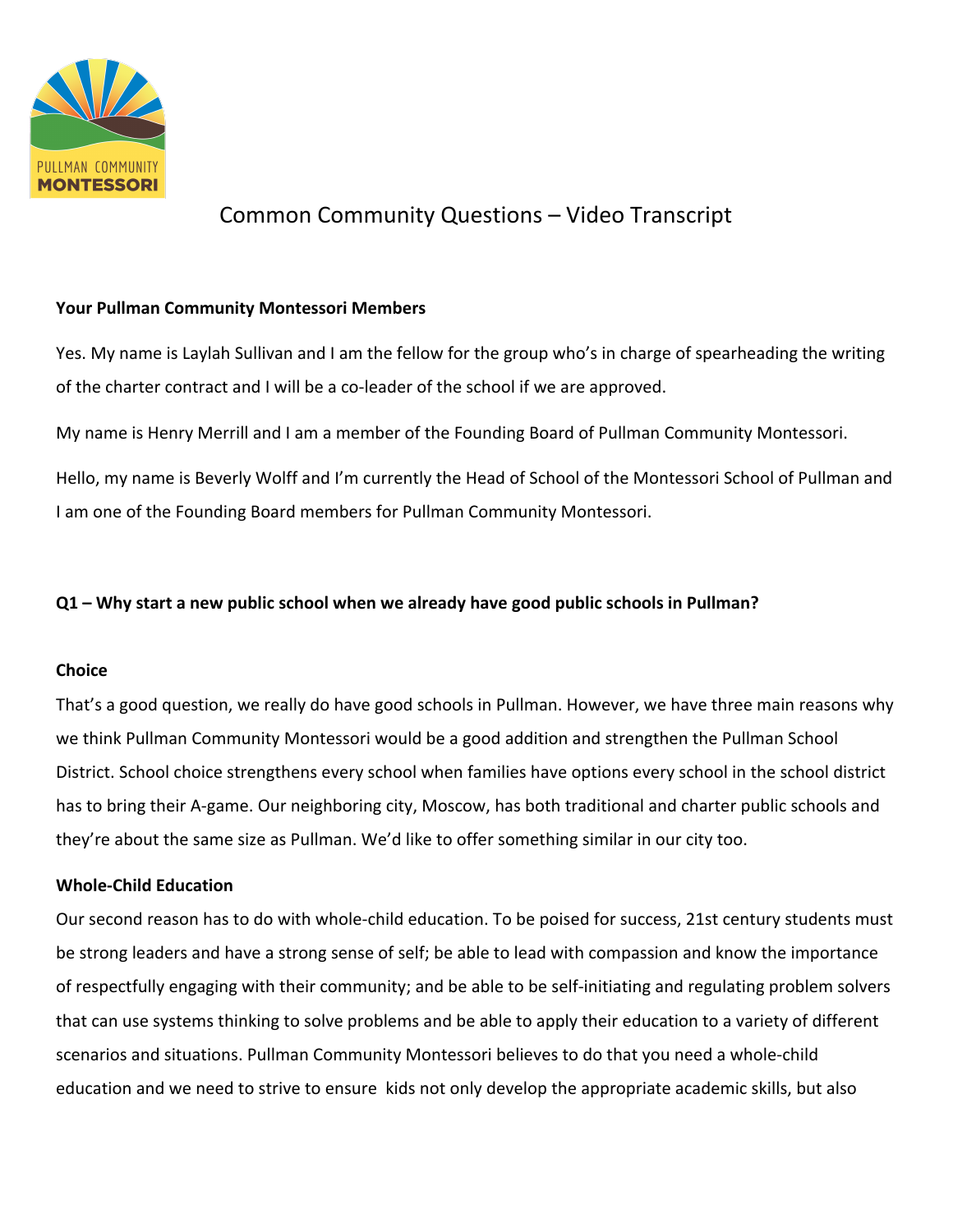

# Common Community Questions – Video Transcript

### **Your Pullman Community Montessori Members**

Yes. My name is Laylah Sullivan and I am the fellow for the group who's in charge of spearheading the writing of the charter contract and I will be a co-leader of the school if we are approved.

My name is Henry Merrill and I am a member of the Founding Board of Pullman Community Montessori.

Hello, my name is Beverly Wolff and I'm currently the Head of School of the Montessori School of Pullman and I am one of the Founding Board members for Pullman Community Montessori.

## **Q1 – Why start a new public school when we already have good public schools in Pullman?**

## **Choice**

That's a good question, we really do have good schools in Pullman. However, we have three main reasons why we think Pullman Community Montessori would be a good addition and strengthen the Pullman School District. School choice strengthens every school when families have options every school in the school district has to bring their A-game. Our neighboring city, Moscow, has both traditional and charter public schools and they're about the same size as Pullman. We'd like to offer something similar in our city too.

## **Whole-Child Education**

Our second reason has to do with whole-child education. To be poised for success, 21st century students must be strong leaders and have a strong sense of self; be able to lead with compassion and know the importance of respectfully engaging with their community; and be able to be self-initiating and regulating problem solvers that can use systems thinking to solve problems and be able to apply their education to a variety of different scenarios and situations. Pullman Community Montessori believes to do that you need a whole-child education and we need to strive to ensure kids not only develop the appropriate academic skills, but also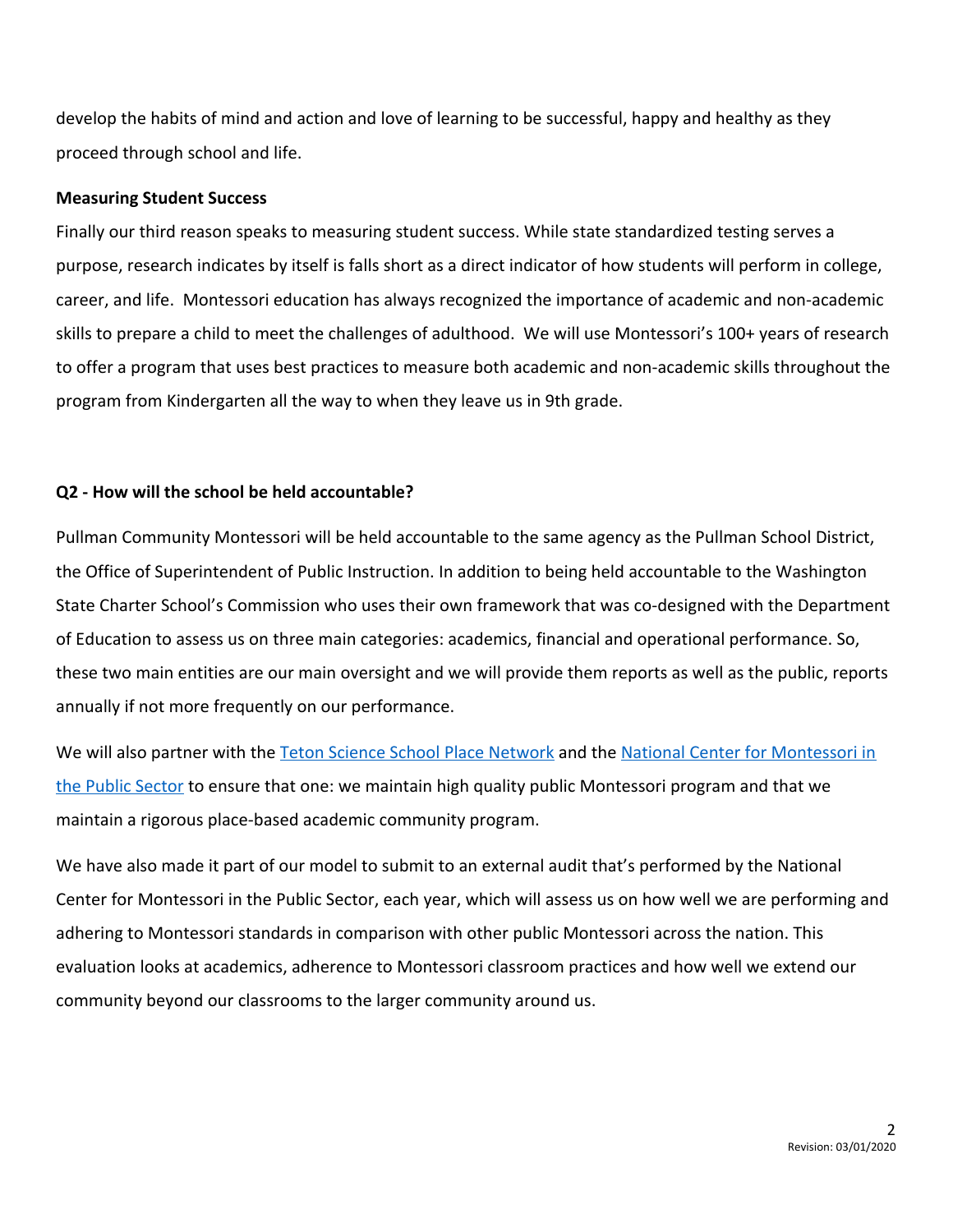develop the habits of mind and action and love of learning to be successful, happy and healthy as they proceed through school and life.

#### **Measuring Student Success**

Finally our third reason speaks to measuring student success. While state standardized testing serves a purpose, research indicates by itself is falls short as a direct indicator of how students will perform in college, career, and life. Montessori education has always recognized the importance of academic and non-academic skills to prepare a child to meet the challenges of adulthood. We will use Montessori's 100+ years of research to offer a program that uses best practices to measure both academic and non-academic skills throughout the program from Kindergarten all the way to when they leave us in 9th grade.

### **Q2 - How will the school be held accountable?**

Pullman Community Montessori will be held accountable to the same agency as the Pullman School District, the Office of Superintendent of Public Instruction. In addition to being held accountable to the Washington State Charter School's Commission who uses their own framework that was co-designed with the Department of Education to assess us on three main categories: academics, financial and operational performance. So, these two main entities are our main oversight and we will provide them reports as well as the public, reports annually if not more frequently on our performance.

We will also partner with the [Teton Science School Place Network](https://www.tetonscience.org/) and the [National Center for Montessori in](https://www.public-montessori.org/) [the Public Sector](https://www.public-montessori.org/) to ensure that one: we maintain high quality public Montessori program and that we maintain a rigorous place-based academic community program.

We have also made it part of our model to submit to an external audit that's performed by the National Center for Montessori in the Public Sector, each year, which will assess us on how well we are performing and adhering to Montessori standards in comparison with other public Montessori across the nation. This evaluation looks at academics, adherence to Montessori classroom practices and how well we extend our community beyond our classrooms to the larger community around us.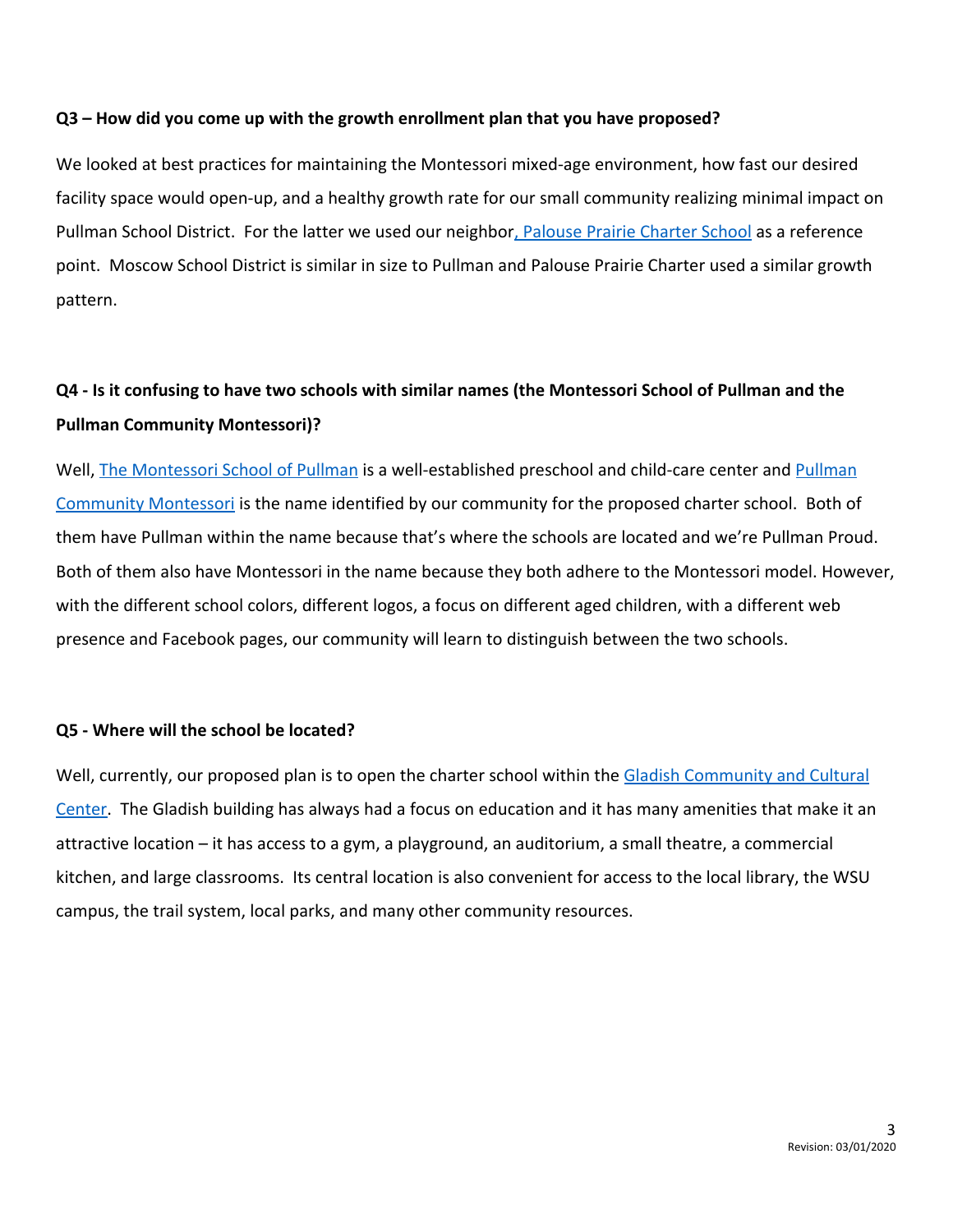### **Q3 – How did you come up with the growth enrollment plan that you have proposed?**

We looked at best practices for maintaining the Montessori mixed-age environment, how fast our desired facility space would open-up, and a healthy growth rate for our small community realizing minimal impact on Pullman School District. For the latter we used our neighbor[, Palouse Prairie Charter School](https://palouseprairieschool.org/) as a reference point. Moscow School District is similar in size to Pullman and Palouse Prairie Charter used a similar growth pattern.

## **Q4 - Is it confusing to have two schools with similar names (the Montessori School of Pullman and the Pullman Community Montessori)?**

Well, [The Montessori School of Pullman](https://www.pullmanmontessori.org/) is a well-established preschool and child-care center and [Pullman](https://www.pullmancommunitymontessori.org/) [Community Montessori](https://www.pullmancommunitymontessori.org/) is the name identified by our community for the proposed charter school. Both of them have Pullman within the name because that's where the schools are located and we're Pullman Proud. Both of them also have Montessori in the name because they both adhere to the Montessori model. However, with the different school colors, different logos, a focus on different aged children, with a different web presence and Facebook pages, our community will learn to distinguish between the two schools.

### **Q5 - Where will the school be located?**

Well, currently, our proposed plan is to open the charter school within the [Gladish Community and Cultural](https://gladishcommunity.org/) [Center.](https://gladishcommunity.org/) The Gladish building has always had a focus on education and it has many amenities that make it an attractive location – it has access to a gym, a playground, an auditorium, a small theatre, a commercial kitchen, and large classrooms. Its central location is also convenient for access to the local library, the WSU campus, the trail system, local parks, and many other community resources.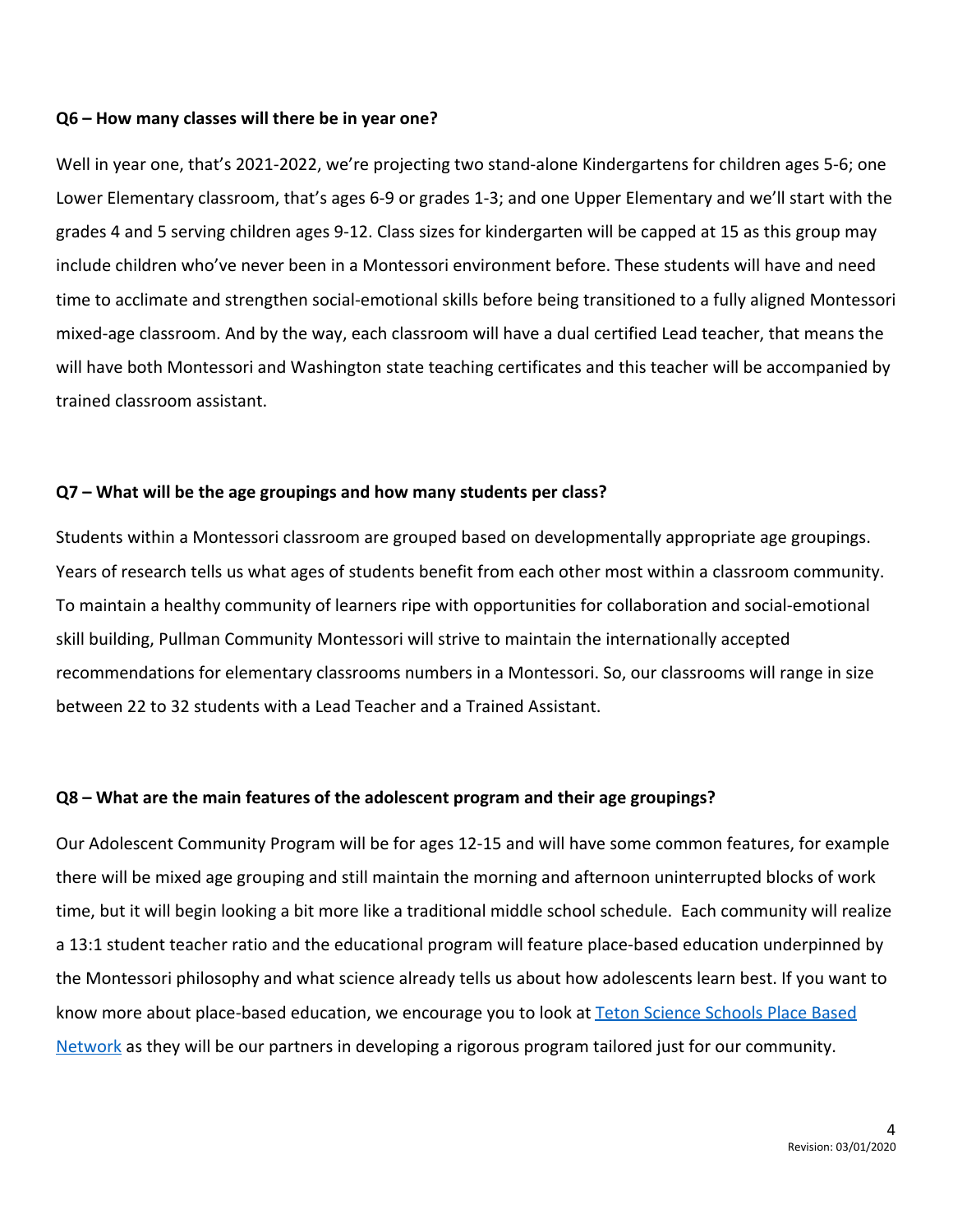#### **Q6 – How many classes will there be in year one?**

Well in year one, that's 2021-2022, we're projecting two stand-alone Kindergartens for children ages 5-6; one Lower Elementary classroom, that's ages 6-9 or grades 1-3; and one Upper Elementary and we'll start with the grades 4 and 5 serving children ages 9-12. Class sizes for kindergarten will be capped at 15 as this group may include children who've never been in a Montessori environment before. These students will have and need time to acclimate and strengthen social-emotional skills before being transitioned to a fully aligned Montessori mixed-age classroom. And by the way, each classroom will have a dual certified Lead teacher, that means the will have both Montessori and Washington state teaching certificates and this teacher will be accompanied by trained classroom assistant.

### **Q7 – What will be the age groupings and how many students per class?**

Students within a Montessori classroom are grouped based on developmentally appropriate age groupings. Years of research tells us what ages of students benefit from each other most within a classroom community. To maintain a healthy community of learners ripe with opportunities for collaboration and social-emotional skill building, Pullman Community Montessori will strive to maintain the internationally accepted recommendations for elementary classrooms numbers in a Montessori. So, our classrooms will range in size between 22 to 32 students with a Lead Teacher and a Trained Assistant.

#### **Q8 – What are the main features of the adolescent program and their age groupings?**

Our Adolescent Community Program will be for ages 12-15 and will have some common features, for example there will be mixed age grouping and still maintain the morning and afternoon uninterrupted blocks of work time, but it will begin looking a bit more like a traditional middle school schedule. Each community will realize a 13:1 student teacher ratio and the educational program will feature place-based education underpinned by the Montessori philosophy and what science already tells us about how adolescents learn best. If you want to know more about place-based education, we encourage you to look at [Teton Science Schools Place Based](https://www.tetonscience.org/) [Network](https://www.tetonscience.org/) as they will be our partners in developing a rigorous program tailored just for our community.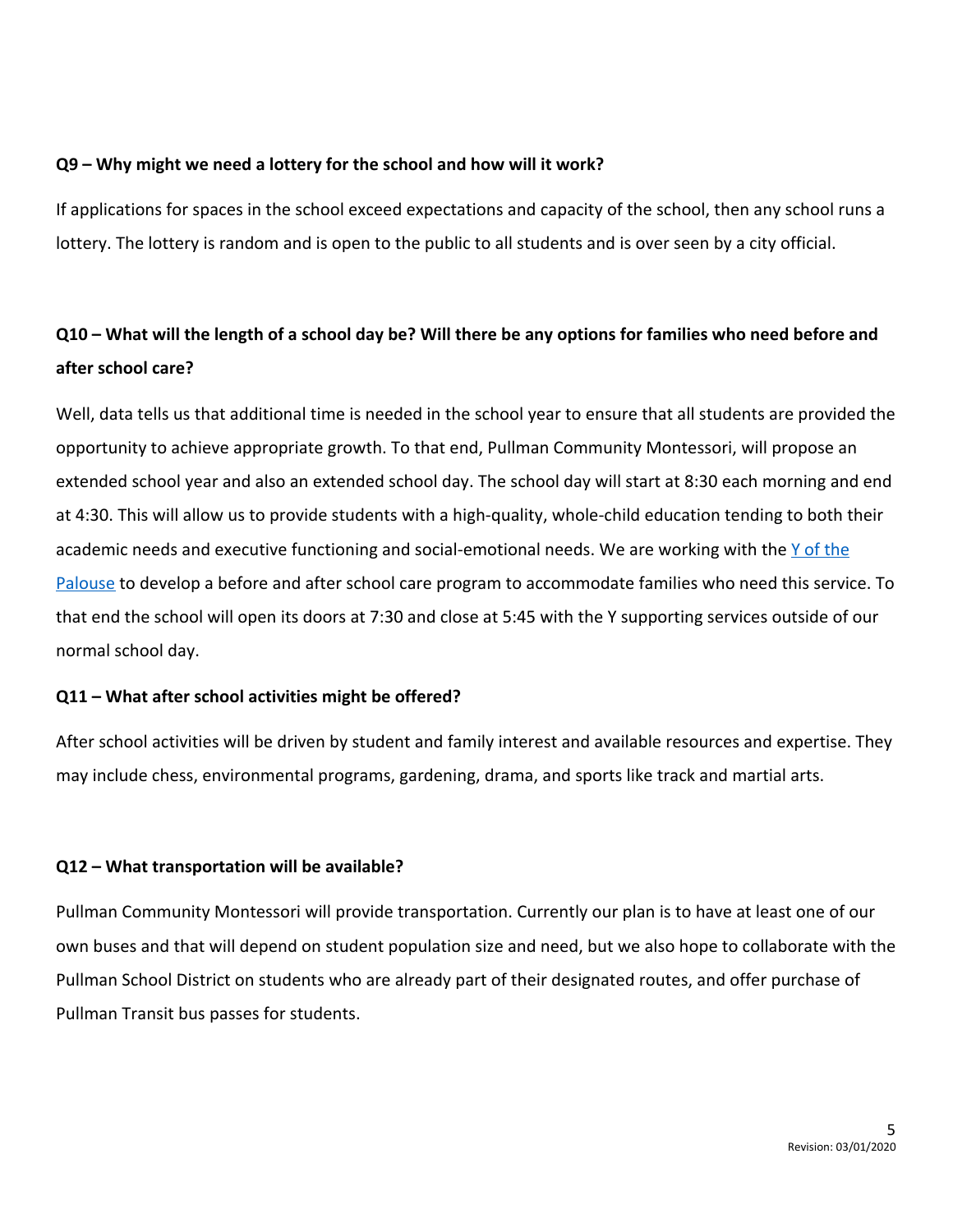### **Q9 – Why might we need a lottery for the school and how will it work?**

If applications for spaces in the school exceed expectations and capacity of the school, then any school runs a lottery. The lottery is random and is open to the public to all students and is over seen by a city official.

# **Q10 – What will the length of a school day be? Will there be any options for families who need before and after school care?**

Well, data tells us that additional time is needed in the school year to ensure that all students are provided the opportunity to achieve appropriate growth. To that end, Pullman Community Montessori, will propose an extended school year and also an extended school day. The school day will start at 8:30 each morning and end at 4:30. This will allow us to provide students with a high-quality, whole-child education tending to both their academic needs and executive functioning and social-emotional needs. We are working with the [Y of the](http://www.palouseymca.org/) [Palouse](http://www.palouseymca.org/) to develop a before and after school care program to accommodate families who need this service. To that end the school will open its doors at 7:30 and close at 5:45 with the Y supporting services outside of our normal school day.

### **Q11 – What after school activities might be offered?**

After school activities will be driven by student and family interest and available resources and expertise. They may include chess, environmental programs, gardening, drama, and sports like track and martial arts.

## **Q12 – What transportation will be available?**

Pullman Community Montessori will provide transportation. Currently our plan is to have at least one of our own buses and that will depend on student population size and need, but we also hope to collaborate with the Pullman School District on students who are already part of their designated routes, and offer purchase of Pullman Transit bus passes for students.